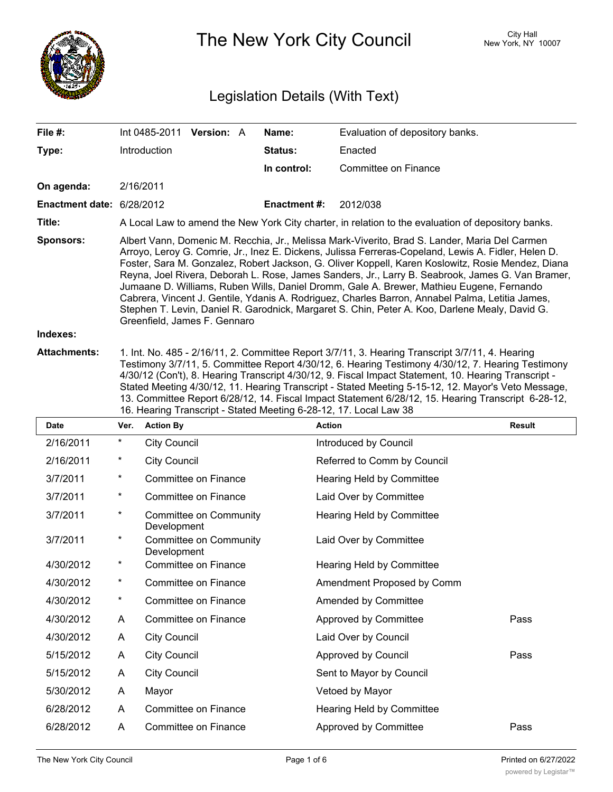

The New York City Council New York, NY 10007

# Legislation Details (With Text)

| File $#$ :                                    | Int 0485-2011                                                                                                                                                                                                                                                                                                                                                                                                                                                                                                                                                                                                                                                                                                                                  | <b>Version: A</b> | Name:          | Evaluation of depository banks. |  |  |
|-----------------------------------------------|------------------------------------------------------------------------------------------------------------------------------------------------------------------------------------------------------------------------------------------------------------------------------------------------------------------------------------------------------------------------------------------------------------------------------------------------------------------------------------------------------------------------------------------------------------------------------------------------------------------------------------------------------------------------------------------------------------------------------------------------|-------------------|----------------|---------------------------------|--|--|
| Type:                                         | <b>Introduction</b>                                                                                                                                                                                                                                                                                                                                                                                                                                                                                                                                                                                                                                                                                                                            |                   | <b>Status:</b> | Enacted                         |  |  |
|                                               |                                                                                                                                                                                                                                                                                                                                                                                                                                                                                                                                                                                                                                                                                                                                                |                   | In control:    | Committee on Finance            |  |  |
| On agenda:                                    | 2/16/2011                                                                                                                                                                                                                                                                                                                                                                                                                                                                                                                                                                                                                                                                                                                                      |                   |                |                                 |  |  |
| <b>Enactment date: <math>6/28/2012</math></b> |                                                                                                                                                                                                                                                                                                                                                                                                                                                                                                                                                                                                                                                                                                                                                |                   | Enactment #:   | 2012/038                        |  |  |
| Title:                                        | A Local Law to amend the New York City charter, in relation to the evaluation of depository banks.                                                                                                                                                                                                                                                                                                                                                                                                                                                                                                                                                                                                                                             |                   |                |                                 |  |  |
| <b>Sponsors:</b>                              | Albert Vann, Domenic M. Recchia, Jr., Melissa Mark-Viverito, Brad S. Lander, Maria Del Carmen<br>Arroyo, Leroy G. Comrie, Jr., Inez E. Dickens, Julissa Ferreras-Copeland, Lewis A. Fidler, Helen D.<br>Foster, Sara M. Gonzalez, Robert Jackson, G. Oliver Koppell, Karen Koslowitz, Rosie Mendez, Diana<br>Reyna, Joel Rivera, Deborah L. Rose, James Sanders, Jr., Larry B. Seabrook, James G. Van Bramer,<br>Jumaane D. Williams, Ruben Wills, Daniel Dromm, Gale A. Brewer, Mathieu Eugene, Fernando<br>Cabrera, Vincent J. Gentile, Ydanis A. Rodriguez, Charles Barron, Annabel Palma, Letitia James,<br>Stephen T. Levin, Daniel R. Garodnick, Margaret S. Chin, Peter A. Koo, Darlene Mealy, David G.<br>Greenfield, James F. Gennaro |                   |                |                                 |  |  |
| Indexes:                                      |                                                                                                                                                                                                                                                                                                                                                                                                                                                                                                                                                                                                                                                                                                                                                |                   |                |                                 |  |  |
|                                               |                                                                                                                                                                                                                                                                                                                                                                                                                                                                                                                                                                                                                                                                                                                                                |                   |                |                                 |  |  |

**Attachments:** 1. Int. No. 485 - 2/16/11, 2. Committee Report 3/7/11, 3. Hearing Transcript 3/7/11, 4. Hearing Testimony 3/7/11, 5. Committee Report 4/30/12, 6. Hearing Testimony 4/30/12, 7. Hearing Testimony 4/30/12 (Con't), 8. Hearing Transcript 4/30/12, 9. Fiscal Impact Statement, 10. Hearing Transcript - Stated Meeting 4/30/12, 11. Hearing Transcript - Stated Meeting 5-15-12, 12. Mayor's Veto Message, 13. Committee Report 6/28/12, 14. Fiscal Impact Statement 6/28/12, 15. Hearing Transcript 6-28-12, 16. Hearing Transcript - Stated Meeting 6-28-12, 17. Local Law 38

| <b>Date</b> | Ver.     | <b>Action By</b>                      | <b>Action</b>               | <b>Result</b> |
|-------------|----------|---------------------------------------|-----------------------------|---------------|
| 2/16/2011   | $^\star$ | <b>City Council</b>                   | Introduced by Council       |               |
| 2/16/2011   | $^\star$ | <b>City Council</b>                   | Referred to Comm by Council |               |
| 3/7/2011    | $^\star$ | <b>Committee on Finance</b>           | Hearing Held by Committee   |               |
| 3/7/2011    | $^\star$ | <b>Committee on Finance</b>           | Laid Over by Committee      |               |
| 3/7/2011    | $^\star$ | Committee on Community<br>Development | Hearing Held by Committee   |               |
| 3/7/2011    | *        | Committee on Community<br>Development | Laid Over by Committee      |               |
| 4/30/2012   | $^\star$ | <b>Committee on Finance</b>           | Hearing Held by Committee   |               |
| 4/30/2012   | $^\star$ | <b>Committee on Finance</b>           | Amendment Proposed by Comm  |               |
| 4/30/2012   | *        | <b>Committee on Finance</b>           | Amended by Committee        |               |
| 4/30/2012   | A        | Committee on Finance                  | Approved by Committee       | Pass          |
| 4/30/2012   | A        | <b>City Council</b>                   | Laid Over by Council        |               |
| 5/15/2012   | A        | <b>City Council</b>                   | Approved by Council         | Pass          |
| 5/15/2012   | A        | <b>City Council</b>                   | Sent to Mayor by Council    |               |
| 5/30/2012   | A        | Mayor                                 | Vetoed by Mayor             |               |
| 6/28/2012   | A        | Committee on Finance                  | Hearing Held by Committee   |               |
| 6/28/2012   | A        | Committee on Finance                  | Approved by Committee       | Pass          |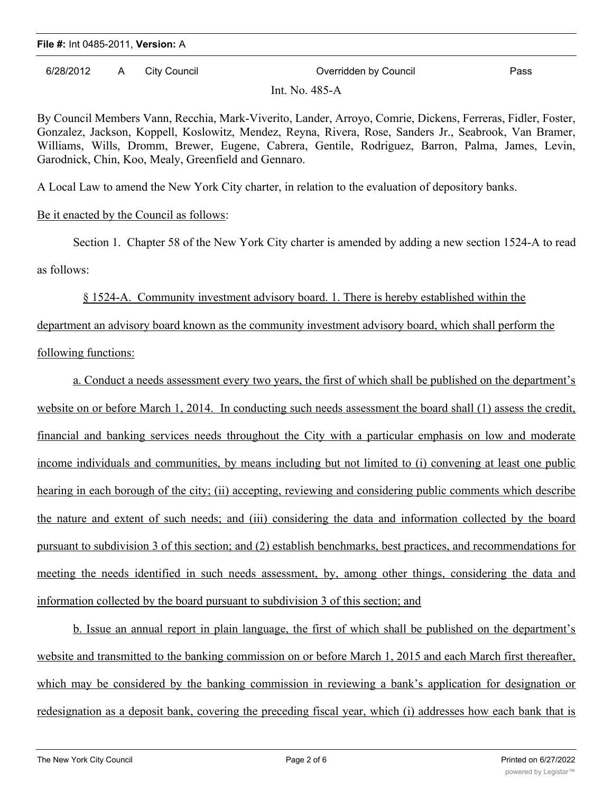6/28/2012 A City Council Overridden by Council Pass

Int.  $No. 485-A$ 

By Council Members Vann, Recchia, Mark-Viverito, Lander, Arroyo, Comrie, Dickens, Ferreras, Fidler, Foster, Gonzalez, Jackson, Koppell, Koslowitz, Mendez, Reyna, Rivera, Rose, Sanders Jr., Seabrook, Van Bramer, Williams, Wills, Dromm, Brewer, Eugene, Cabrera, Gentile, Rodriguez, Barron, Palma, James, Levin, Garodnick, Chin, Koo, Mealy, Greenfield and Gennaro.

A Local Law to amend the New York City charter, in relation to the evaluation of depository banks.

## Be it enacted by the Council as follows:

Section 1. Chapter 58 of the New York City charter is amended by adding a new section 1524-A to read as follows:

### § 1524-A. Community investment advisory board. 1. There is hereby established within the

department an advisory board known as the community investment advisory board, which shall perform the following functions:

a. Conduct a needs assessment every two years, the first of which shall be published on the department's website on or before March 1, 2014. In conducting such needs assessment the board shall (1) assess the credit, financial and banking services needs throughout the City with a particular emphasis on low and moderate income individuals and communities, by means including but not limited to (i) convening at least one public hearing in each borough of the city; (ii) accepting, reviewing and considering public comments which describe the nature and extent of such needs; and (iii) considering the data and information collected by the board pursuant to subdivision 3 of this section; and (2) establish benchmarks, best practices, and recommendations for meeting the needs identified in such needs assessment, by, among other things, considering the data and information collected by the board pursuant to subdivision 3 of this section; and

b. Issue an annual report in plain language, the first of which shall be published on the department's website and transmitted to the banking commission on or before March 1, 2015 and each March first thereafter, which may be considered by the banking commission in reviewing a bank's application for designation or redesignation as a deposit bank, covering the preceding fiscal year, which (i) addresses how each bank that is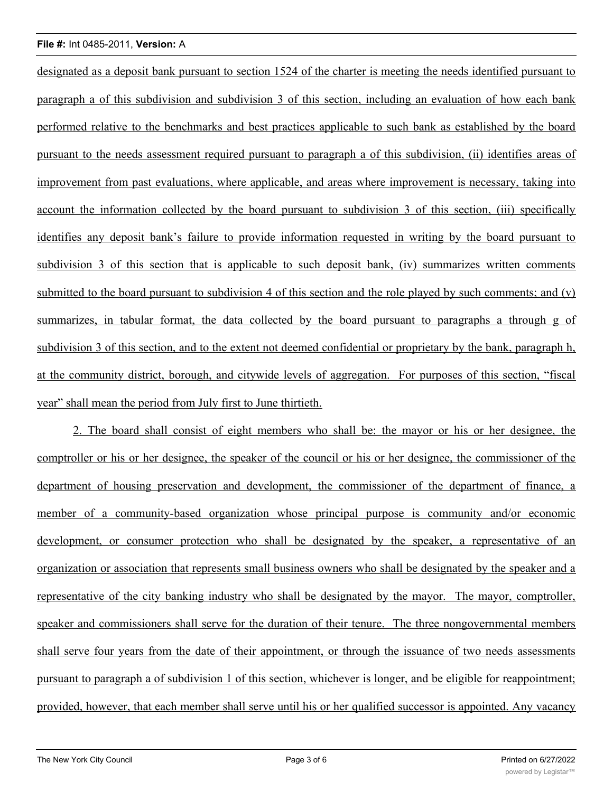designated as a deposit bank pursuant to section 1524 of the charter is meeting the needs identified pursuant to paragraph a of this subdivision and subdivision 3 of this section, including an evaluation of how each bank performed relative to the benchmarks and best practices applicable to such bank as established by the board pursuant to the needs assessment required pursuant to paragraph a of this subdivision, (ii) identifies areas of improvement from past evaluations, where applicable, and areas where improvement is necessary, taking into account the information collected by the board pursuant to subdivision 3 of this section, (iii) specifically identifies any deposit bank's failure to provide information requested in writing by the board pursuant to subdivision 3 of this section that is applicable to such deposit bank, (iv) summarizes written comments submitted to the board pursuant to subdivision 4 of this section and the role played by such comments; and (v) summarizes, in tabular format, the data collected by the board pursuant to paragraphs a through g of subdivision 3 of this section, and to the extent not deemed confidential or proprietary by the bank, paragraph h, at the community district, borough, and citywide levels of aggregation. For purposes of this section, "fiscal year" shall mean the period from July first to June thirtieth.

2. The board shall consist of eight members who shall be: the mayor or his or her designee, the comptroller or his or her designee, the speaker of the council or his or her designee, the commissioner of the department of housing preservation and development, the commissioner of the department of finance, a member of a community-based organization whose principal purpose is community and/or economic development, or consumer protection who shall be designated by the speaker, a representative of an organization or association that represents small business owners who shall be designated by the speaker and a representative of the city banking industry who shall be designated by the mayor. The mayor, comptroller, speaker and commissioners shall serve for the duration of their tenure. The three nongovernmental members shall serve four years from the date of their appointment, or through the issuance of two needs assessments pursuant to paragraph a of subdivision 1 of this section, whichever is longer, and be eligible for reappointment; provided, however, that each member shall serve until his or her qualified successor is appointed. Any vacancy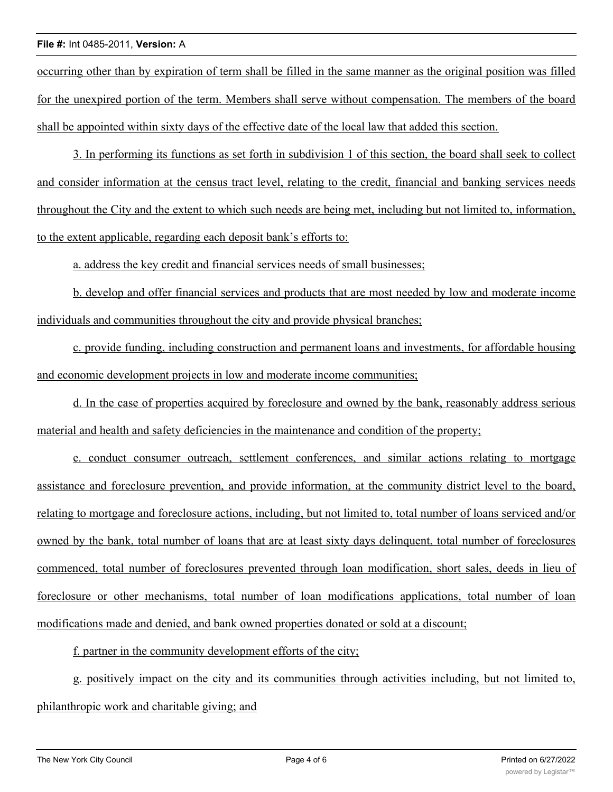occurring other than by expiration of term shall be filled in the same manner as the original position was filled for the unexpired portion of the term. Members shall serve without compensation. The members of the board shall be appointed within sixty days of the effective date of the local law that added this section.

3. In performing its functions as set forth in subdivision 1 of this section, the board shall seek to collect and consider information at the census tract level, relating to the credit, financial and banking services needs throughout the City and the extent to which such needs are being met, including but not limited to, information, to the extent applicable, regarding each deposit bank's efforts to:

a. address the key credit and financial services needs of small businesses;

b. develop and offer financial services and products that are most needed by low and moderate income individuals and communities throughout the city and provide physical branches;

c. provide funding, including construction and permanent loans and investments, for affordable housing and economic development projects in low and moderate income communities;

d. In the case of properties acquired by foreclosure and owned by the bank, reasonably address serious material and health and safety deficiencies in the maintenance and condition of the property;

e. conduct consumer outreach, settlement conferences, and similar actions relating to mortgage assistance and foreclosure prevention, and provide information, at the community district level to the board, relating to mortgage and foreclosure actions, including, but not limited to, total number of loans serviced and/or owned by the bank, total number of loans that are at least sixty days delinquent, total number of foreclosures commenced, total number of foreclosures prevented through loan modification, short sales, deeds in lieu of foreclosure or other mechanisms, total number of loan modifications applications, total number of loan modifications made and denied, and bank owned properties donated or sold at a discount;

f. partner in the community development efforts of the city;

g. positively impact on the city and its communities through activities including, but not limited to, philanthropic work and charitable giving; and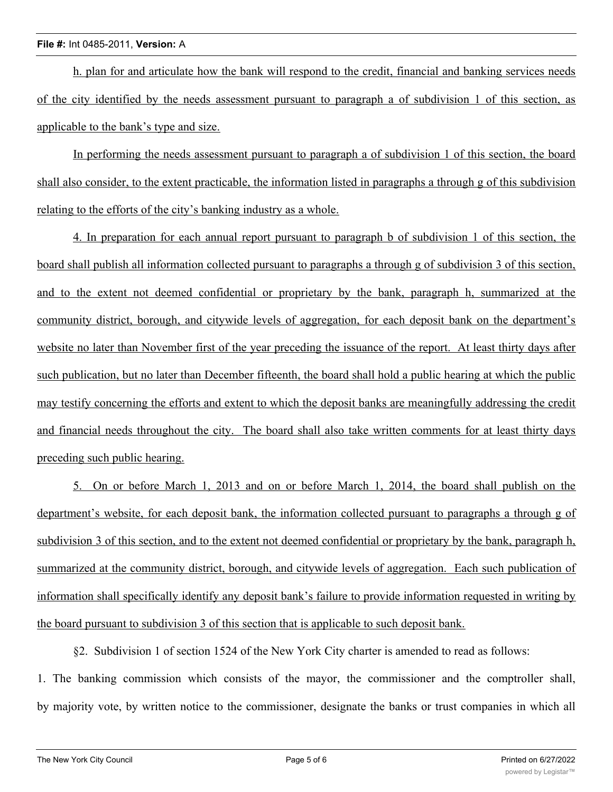h. plan for and articulate how the bank will respond to the credit, financial and banking services needs of the city identified by the needs assessment pursuant to paragraph a of subdivision 1 of this section, as applicable to the bank's type and size.

In performing the needs assessment pursuant to paragraph a of subdivision 1 of this section, the board shall also consider, to the extent practicable, the information listed in paragraphs a through g of this subdivision relating to the efforts of the city's banking industry as a whole.

4. In preparation for each annual report pursuant to paragraph b of subdivision 1 of this section, the board shall publish all information collected pursuant to paragraphs a through g of subdivision 3 of this section, and to the extent not deemed confidential or proprietary by the bank, paragraph h, summarized at the community district, borough, and citywide levels of aggregation, for each deposit bank on the department's website no later than November first of the year preceding the issuance of the report. At least thirty days after such publication, but no later than December fifteenth, the board shall hold a public hearing at which the public may testify concerning the efforts and extent to which the deposit banks are meaningfully addressing the credit and financial needs throughout the city. The board shall also take written comments for at least thirty days preceding such public hearing.

5. On or before March 1, 2013 and on or before March 1, 2014, the board shall publish on the department's website, for each deposit bank, the information collected pursuant to paragraphs a through g of subdivision 3 of this section, and to the extent not deemed confidential or proprietary by the bank, paragraph h, summarized at the community district, borough, and citywide levels of aggregation. Each such publication of information shall specifically identify any deposit bank's failure to provide information requested in writing by the board pursuant to subdivision 3 of this section that is applicable to such deposit bank.

§2. Subdivision 1 of section 1524 of the New York City charter is amended to read as follows: 1. The banking commission which consists of the mayor, the commissioner and the comptroller shall,

by majority vote, by written notice to the commissioner, designate the banks or trust companies in which all